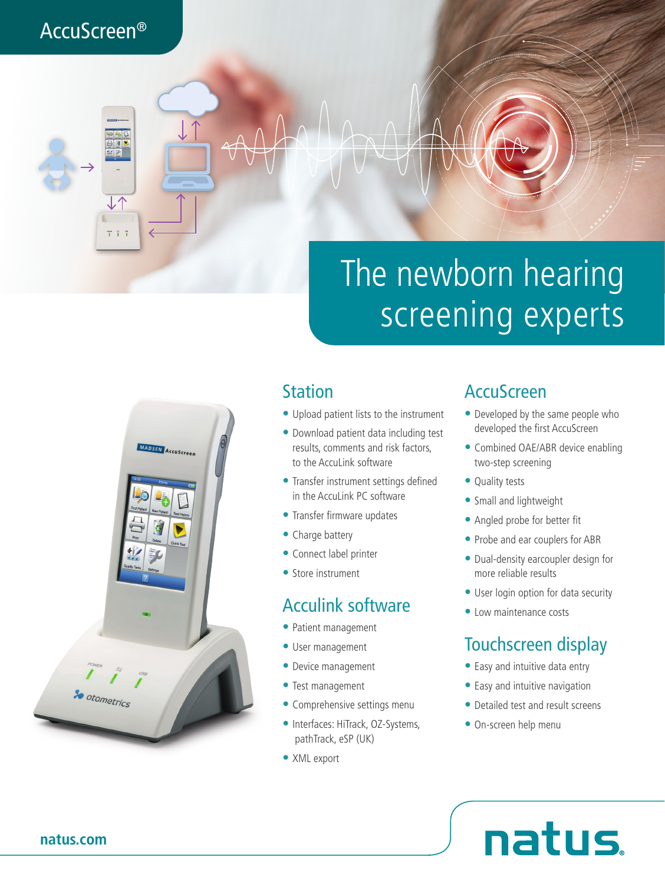# AccuScreen®

# The newborn hearing screening experts



### **Station**

- Upload patient lists to the instrument
- Download patient data including test results, comments and risk factors, to the AccuLink software
- Transfer instrument settings defined in the Accul ink PC software
- Transfer firmware updates
- Charge battery
- Connect label printer
- Store instrument

#### Acculink software

- Patient management
- User management
- Device management
- Test management
- Comprehensive settings menu
- Interfaces: HiTrack, OZ-Systems, pathTrack, eSP (UK)
- XML export

#### AccuScreen

- Developed by the same people who developed the first AccuScreen
- Combined OAE/ABR device enabling two-step screening
- Quality tests
- Small and lightweight
- Angled probe for better fit
- Probe and ear couplers for ABR
- Dual-density earcoupler design for more reliable results
- User login option for data security
- Low maintenance costs

# Touchscreen display

- Easy and intuitive data entry
- Easy and intuitive navigation
- Detailed test and result screens
- On-screen help menu